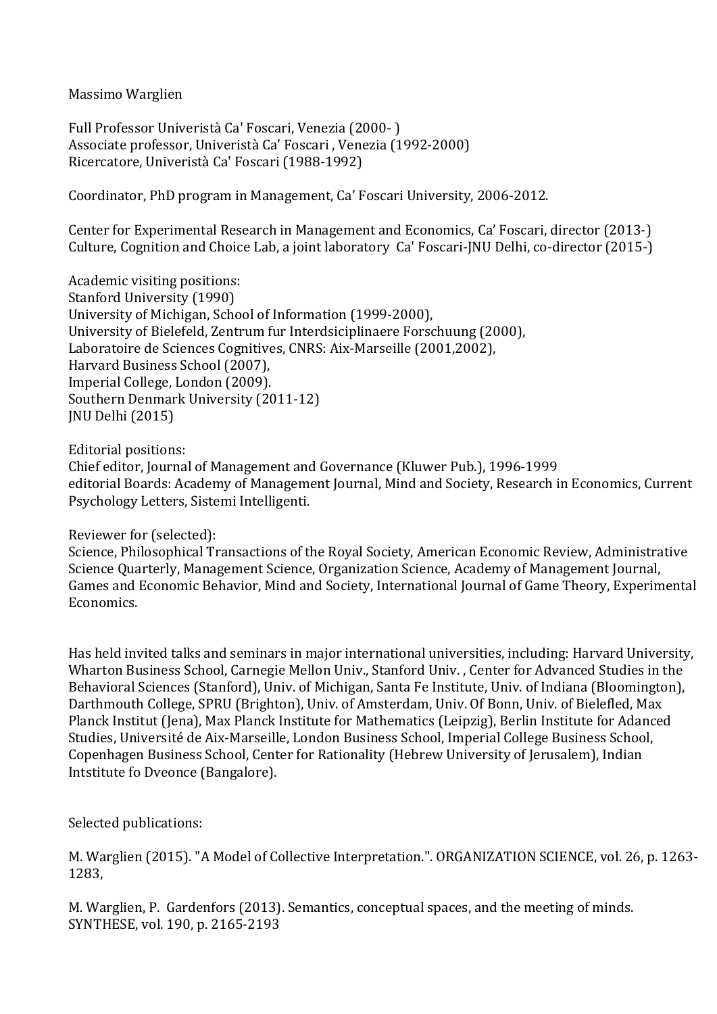Massimo Warglien 

Full Professor Univeristà Ca' Foscari, Venezia (2000-) Associate professor, Univeristà Ca' Foscari, Venezia (1992-2000) Ricercatore, Univeristà Ca' Foscari (1988-1992)

Coordinator, PhD program in Management, Ca' Foscari University, 2006-2012.

Center for Experimental Research in Management and Economics, Ca' Foscari, director (2013-) Culture, Cognition and Choice Lab, a joint laboratory Ca' Foscari-JNU Delhi, co-director (2015-)

Academic visiting positions: Stanford University (1990) University of Michigan, School of Information (1999-2000), University of Bielefeld, Zentrum fur Interdsiciplinaere Forschuung (2000), Laboratoire de Sciences Cognitives, CNRS: Aix-Marseille (2001,2002), Harvard Business School (2007), Imperial College, London (2009). Southern Denmark University (2011-12) JNU Delhi (2015)

Editorial positions:

Chief editor, Journal of Management and Governance (Kluwer Pub.), 1996-1999 editorial Boards: Academy of Management Journal, Mind and Society, Research in Economics, Current Psychology Letters, Sistemi Intelligenti.

Reviewer for (selected):

Science, Philosophical Transactions of the Royal Society, American Economic Review, Administrative Science Quarterly, Management Science, Organization Science, Academy of Management Journal, Games and Economic Behavior, Mind and Society, International Journal of Game Theory, Experimental Economics. 

Has held invited talks and seminars in major international universities, including: Harvard University, Wharton Business School, Carnegie Mellon Univ., Stanford Univ., Center for Advanced Studies in the Behavioral Sciences (Stanford), Univ. of Michigan, Santa Fe Institute, Univ. of Indiana (Bloomington), Darthmouth College, SPRU (Brighton), Univ. of Amsterdam, Univ. Of Bonn, Univ. of Bielefled, Max Planck Institut (Jena), Max Planck Institute for Mathematics (Leipzig), Berlin Institute for Adanced Studies, Université de Aix-Marseille, London Business School, Imperial College Business School, Copenhagen Business School, Center for Rationality (Hebrew University of Jerusalem), Indian Intstitute fo Dyeonce (Bangalore).

Selected publications:

M. Warglien (2015). "A Model of Collective Interpretation.". ORGANIZATION SCIENCE, vol. 26, p. 1263-1283, 

M. Warglien, P. Gardenfors (2013). Semantics, conceptual spaces, and the meeting of minds. SYNTHESE, vol. 190, p. 2165-2193